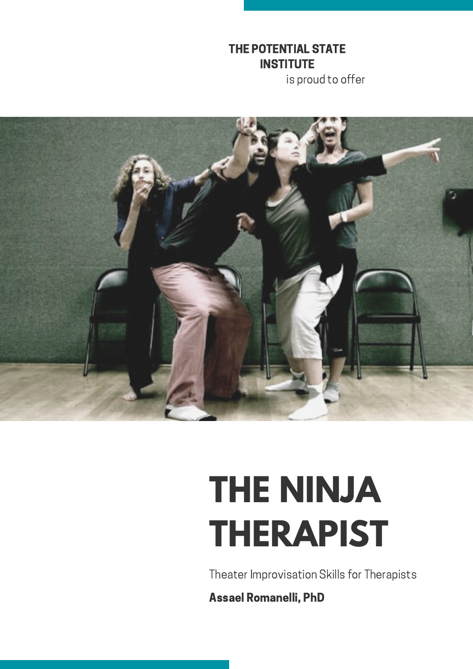#### THE POTENTIAL STATE **INSTITUTE**

is proud to offer



# **THE NINJA THERAPIST**

Theater Improvisation Skills for Therapists

Assael Romanelli, PhD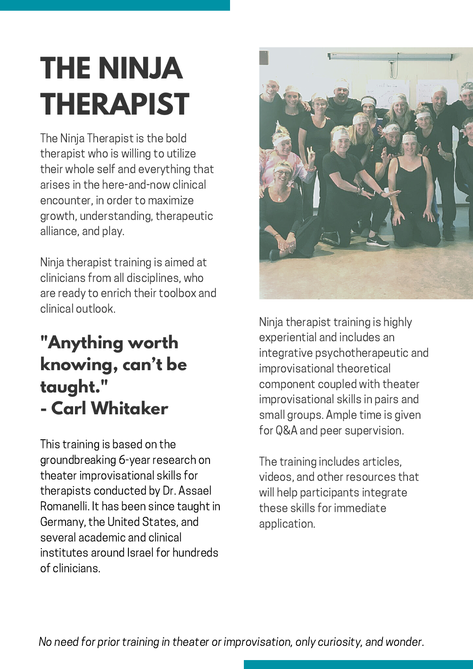### **THE NINJA THERAPIST**

The Ninja Therapist is the bold therapist who is willing to utilize their whole self and everything that arises in the here-and-now clinical encounter, in order to maximize growth, understanding, therapeutic alliance, and play.

Ninja therapist training is aimed at clinicians from all disciplines, who are ready to enrich their toolbox and clinical outlook.

### **"Anything worth knowing, can't be taught. " - Carl Whitaker**

This training is based on the groundbreaking 6-year research on theater improvisational skills for therapists conducted by Dr. Assael Romanelli. It has been since taught in Germany, the United States, and several academic and clinical institutes around Israel for hundreds of clinicians.



Ninja therapist training is highly experiential and includes an integrative psychotherapeutic and improvisational theoretical component coupled with theater improvisational skills in pairs and small groups. Ample time is given for Q&A and peer supervision.

The training includes articles, videos, and other resources that will help participants integrate these skills for immediate application.

No need for prior training in theater or improvisation, only curiosity, and wonder.